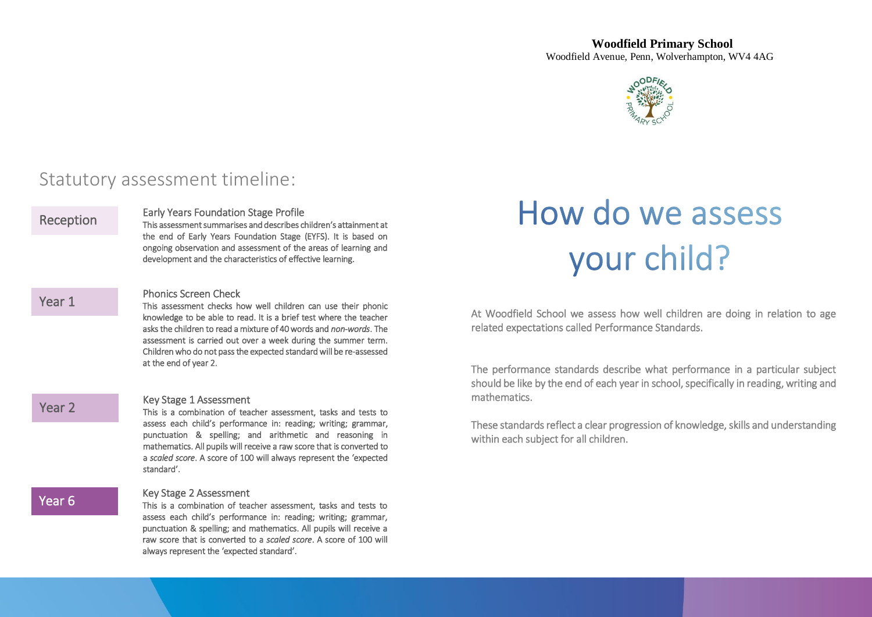

## Statutory assessment timeline:

### Reception

Year 1

Year 2

Early Years Foundation Stage Profile

This assessment summarises and describes children's attainment at the end of Early Years Foundation Stage (EYFS). It is based on ongoing observation and assessment of the areas of learning and development and the characteristics of effective learning.

### Phonics Screen Check

This assessment checks how well children can use their phonic knowledge to be able to read. It is a brief test where the teacher asks the children to read a mixture of 40 words and *non-words*. The assessment is carried out over a week during the summer term. Children who do not pass the expected standard will be re-assessed at the end of year 2.

### Key Stage 1 Assessment

This is a combination of teacher assessment, tasks and tests to assess each child's performance in: reading; writing; grammar, punctuation & spelling; and arithmetic and reasoning in mathematics. All pupils will receive a raw score that is converted to a *scaled score*. A score of 100 will always represent the 'expected standard'.

### Year 6

### Key Stage 2 Assessment

This is a combination of teacher assessment, tasks and tests to assess each child's performance in: reading; writing; grammar, punctuation & spelling; and mathematics. All pupils will receive a raw score that is converted to a *scaled score*. A score of 100 will always represent the 'expected standard'.

# How do we assess your child?

At Woodfield School we assess how well children are doing in relation to age related expectations called Performance Standards.

The performance standards describe what performance in a particular subject should be like by the end of each year in school, specifically in reading, writing and mathematics.

These standards reflect a clear progression of knowledge, skills and understanding within each subject for all children.